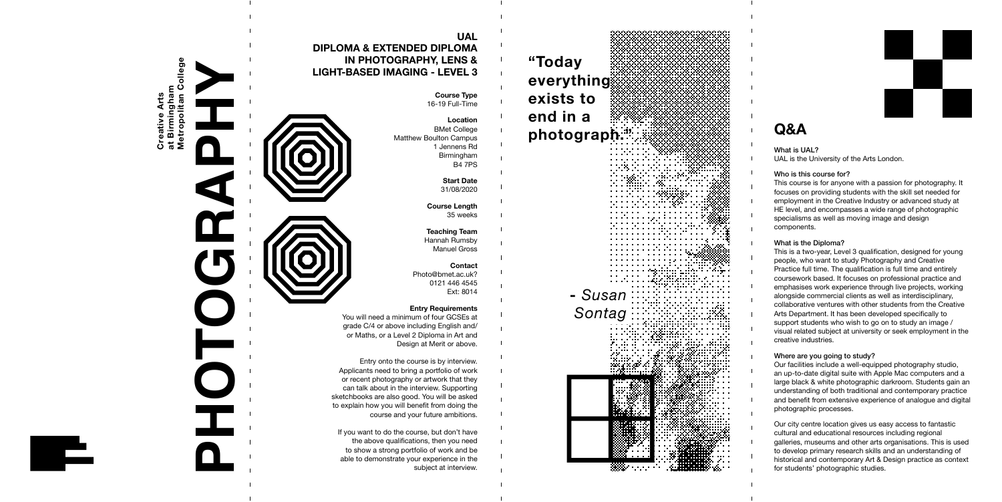ollege **Metropolitan College** Creative Arts<br>at Birmingham<br>Metropolitan Co **at Birmingham Creative Arts**



#### **Course Type** 16-19 Full-Time

**Location** BMet College Matthew Boulton Campus 1 Jennens Rd Birmingham B4 7PS

> **Start Date** 31/08/2020

#### **Course Length** 35 weeks

**Teaching Team** Hannah Rumsby Manuel Gross

**Contact** Photo@bmet.ac.uk? 0121 446 4545 Ext: 8014

### **Entry Requirements**

You will need a minimum of four GCSEs at grade C/4 or above including English and/ or Maths, or a Level 2 Diploma in Art and Design at Merit or above.

Entry onto the course is by interview. Applicants need to bring a portfolio of work or recent photography or artwork that they can talk about in the interview. Supporting sketchbooks are also good. You will be asked to explain how you will benefit from doing the course and your future ambitions.

If you want to do the course, but don't have the above qualifications, then you need to show a strong portfolio of work and be able to demonstrate your experience in the subject at interview.

### **UAL DIPLOMA & EXTENDED DIPLOMA IN PHOTOGRAPHY, LENS & LIGHT-BASED IMAGING - LEVEL 3**

**PHOTOGRAPHY**

# **Q&A**

What is UAL? UAL is the University of the Arts London.

### Who is this course for?

This course is for anyone with a passion for photography. It focuses on providing students with the skill set needed for employment in the Creative Industry or advanced study at HE level, and encompasses a wide range of photographic specialisms as well as moving image and design components.

**"Today everything exists to end in a photograph." -** *Susan Sontag*▒



### What is the Diploma?

This is a two-year, Level 3 qualification, designed for young people, who want
to study Photography and Creative Practice full time. The qualification is full time and entirely coursework based. It focuses on professional practice and emphasises work experience through live projects, working alongside commercial clients as well as interdisciplinary, collaborative ventures with other students from the Creative Arts Department. It has been developed specifically to support students who wish to go on to study an image / visual related subject at university or seek employment in the creative industries.

### Where are you going to study?

Our facilities include a well-equipped photography studio, an up-to-date digital suite with Apple Mac computers and a large black & white photographic darkroom. Students gain an understanding of both traditional and contemporary practice and benefit from extensive experience of analogue and digital photographic processes.

Our city centre location gives us easy access to fantastic cultural and educational resources including regional galleries, museums and other arts organisations. This is used to develop primary research skills and an understanding of historical and contemporary Art & Design practice as context for students' photographic studies.